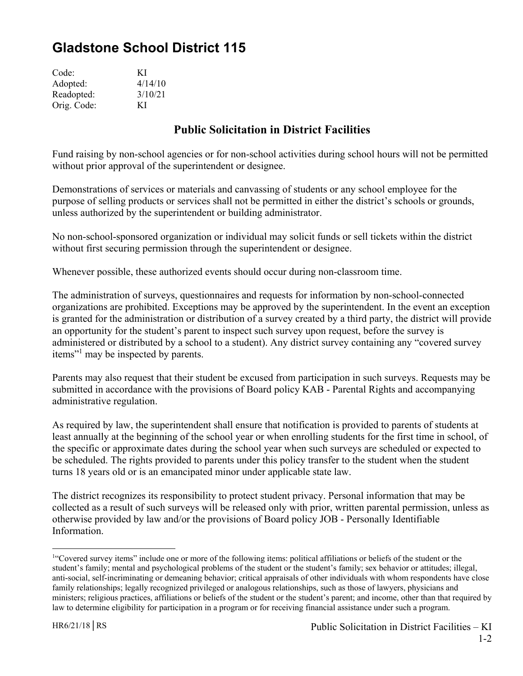## **Gladstone School District 115**

| Code:       | КI      |
|-------------|---------|
| Adopted:    | 4/14/10 |
| Readopted:  | 3/10/21 |
| Orig. Code: | КI      |

## **Public Solicitation in District Facilities**

Fund raising by non-school agencies or for non-school activities during school hours will not be permitted without prior approval of the superintendent or designee.

Demonstrations of services or materials and canvassing of students or any school employee for the purpose of selling products or services shall not be permitted in either the district's schools or grounds, unless authorized by the superintendent or building administrator.

No non-school-sponsored organization or individual may solicit funds or sell tickets within the district without first securing permission through the superintendent or designee.

Whenever possible, these authorized events should occur during non-classroom time.

The administration of surveys, questionnaires and requests for information by non-school-connected organizations are prohibited. Exceptions may be approved by the superintendent. In the event an exception is granted for the administration or distribution of a survey created by a third party, the district will provide an opportunity for the student's parent to inspect such survey upon request, before the survey is administered or distributed by a school to a student). Any district survey containing any "covered survey items"<sup>1</sup> may be inspected by parents.

Parents may also request that their student be excused from participation in such surveys. Requests may be submitted in accordance with the provisions of Board policy KAB - Parental Rights and accompanying administrative regulation.

As required by law, the superintendent shall ensure that notification is provided to parents of students at least annually at the beginning of the school year or when enrolling students for the first time in school, of the specific or approximate dates during the school year when such surveys are scheduled or expected to be scheduled. The rights provided to parents under this policy transfer to the student when the student turns 18 years old or is an emancipated minor under applicable state law.

The district recognizes its responsibility to protect student privacy. Personal information that may be collected as a result of such surveys will be released only with prior, written parental permission, unless as otherwise provided by law and/or the provisions of Board policy JOB - Personally Identifiable Information.

 $\overline{a}$ 

<sup>&</sup>lt;sup>1"</sup>Covered survey items" include one or more of the following items: political affiliations or beliefs of the student or the student's family; mental and psychological problems of the student or the student's family; sex behavior or attitudes; illegal, anti-social, self-incriminating or demeaning behavior; critical appraisals of other individuals with whom respondents have close family relationships; legally recognized privileged or analogous relationships, such as those of lawyers, physicians and ministers; religious practices, affiliations or beliefs of the student or the student's parent; and income, other than that required by law to determine eligibility for participation in a program or for receiving financial assistance under such a program.